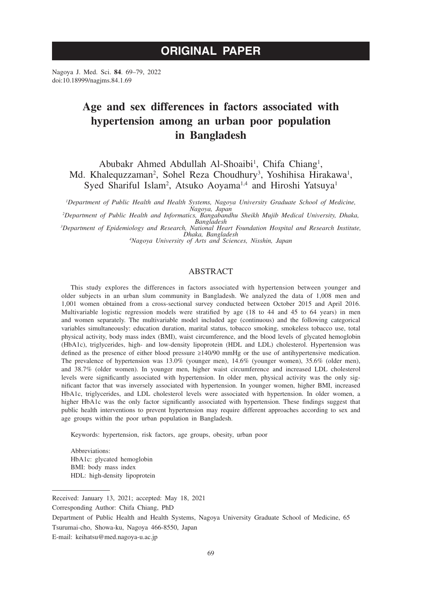# **ORIGINAL PAPER**

Nagoya J. Med. Sci. **84**. 69–79, 2022 doi:10.18999/nagjms.84.1.69

# **Age and sex differences in factors associated with hypertension among an urban poor population in Bangladesh**

Abubakr Ahmed Abdullah Al-Shoaibi<sup>1</sup>, Chifa Chiang<sup>1</sup>, Md. Khalequzzaman<sup>2</sup>, Sohel Reza Choudhury<sup>3</sup>, Yoshihisa Hirakawa<sup>1</sup>, Syed Shariful Islam<sup>2</sup>, Atsuko Aoyama<sup>1,4</sup> and Hiroshi Yatsuya<sup>1</sup>

*1 Department of Public Health and Health Systems, Nagoya University Graduate School of Medicine, Nagoya, Japan <sup>2</sup> Department of Public Health and Informatics, Bangabandhu Sheikh Mujib Medical University, Dhaka,* 

*Bangladesh <sup>3</sup> Department of Epidemiology and Research, National Heart Foundation Hospital and Research Institute,* 

*Dhaka, Bangladesh <sup>4</sup> Nagoya University of Arts and Sciences, Nisshin, Japan*

## ABSTRACT

This study explores the differences in factors associated with hypertension between younger and older subjects in an urban slum community in Bangladesh. We analyzed the data of 1,008 men and 1,001 women obtained from a cross-sectional survey conducted between October 2015 and April 2016. Multivariable logistic regression models were stratified by age (18 to 44 and 45 to 64 years) in men and women separately. The multivariable model included age (continuous) and the following categorical variables simultaneously: education duration, marital status, tobacco smoking, smokeless tobacco use, total physical activity, body mass index (BMI), waist circumference, and the blood levels of glycated hemoglobin (HbA1c), triglycerides, high- and low-density lipoprotein (HDL and LDL) cholesterol. Hypertension was defined as the presence of either blood pressure ≥140/90 mmHg or the use of antihypertensive medication. The prevalence of hypertension was 13.0% (younger men), 14.6% (younger women), 35.6% (older men), and 38.7% (older women). In younger men, higher waist circumference and increased LDL cholesterol levels were significantly associated with hypertension. In older men, physical activity was the only significant factor that was inversely associated with hypertension. In younger women, higher BMI, increased HbA1c, triglycerides, and LDL cholesterol levels were associated with hypertension. In older women, a higher HbA1c was the only factor significantly associated with hypertension. These findings suggest that public health interventions to prevent hypertension may require different approaches according to sex and age groups within the poor urban population in Bangladesh.

Keywords: hypertension, risk factors, age groups, obesity, urban poor

Abbreviations: HbA1c: glycated hemoglobin BMI: body mass index HDL: high-density lipoprotein

Received: January 13, 2021; accepted: May 18, 2021

Corresponding Author: Chifa Chiang, PhD

Department of Public Health and Health Systems, Nagoya University Graduate School of Medicine, 65 Tsurumai-cho, Showa-ku, Nagoya 466-8550, Japan

E-mail: keihatsu@med.nagoya-u.ac.jp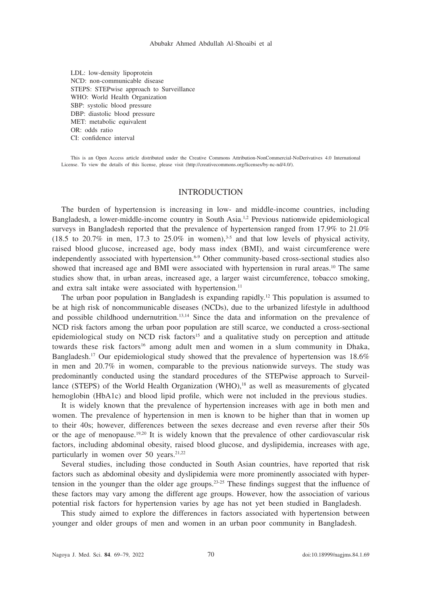LDL: low-density lipoprotein NCD: non-communicable disease STEPS: STEPwise approach to Surveillance WHO: World Health Organization SBP: systolic blood pressure DBP: diastolic blood pressure MET: metabolic equivalent OR: odds ratio CI: confidence interval

This is an Open Access article distributed under the Creative Commons Attribution-NonCommercial-NoDerivatives 4.0 International License. To view the details of this license, please visit (http://creativecommons.org/licenses/by-nc-nd/4.0/).

#### INTRODUCTION

The burden of hypertension is increasing in low- and middle-income countries, including Bangladesh, a lower-middle-income country in South Asia.1,2 Previous nationwide epidemiological surveys in Bangladesh reported that the prevalence of hypertension ranged from 17.9% to 21.0% (18.5 to 20.7% in men, 17.3 to 25.0% in women),<sup>3.5</sup> and that low levels of physical activity, raised blood glucose, increased age, body mass index (BMI), and waist circumference were independently associated with hypertension.<sup>6-9</sup> Other community-based cross-sectional studies also showed that increased age and BMI were associated with hypertension in rural areas.<sup>10</sup> The same studies show that, in urban areas, increased age, a larger waist circumference, tobacco smoking, and extra salt intake were associated with hypertension.<sup>11</sup>

The urban poor population in Bangladesh is expanding rapidly.12 This population is assumed to be at high risk of noncommunicable diseases (NCDs), due to the urbanized lifestyle in adulthood and possible childhood undernutrition.<sup>13,14</sup> Since the data and information on the prevalence of NCD risk factors among the urban poor population are still scarce, we conducted a cross-sectional epidemiological study on NCD risk factors<sup>15</sup> and a qualitative study on perception and attitude towards these risk factors<sup>16</sup> among adult men and women in a slum community in Dhaka, Bangladesh.17 Our epidemiological study showed that the prevalence of hypertension was 18.6% in men and 20.7% in women, comparable to the previous nationwide surveys. The study was predominantly conducted using the standard procedures of the STEPwise approach to Surveillance (STEPS) of the World Health Organization (WHO),<sup>18</sup> as well as measurements of glycated hemoglobin (HbA1c) and blood lipid profile, which were not included in the previous studies.

It is widely known that the prevalence of hypertension increases with age in both men and women. The prevalence of hypertension in men is known to be higher than that in women up to their 40s; however, differences between the sexes decrease and even reverse after their 50s or the age of menopause.19,20 It is widely known that the prevalence of other cardiovascular risk factors, including abdominal obesity, raised blood glucose, and dyslipidemia, increases with age, particularly in women over 50 years.<sup>21,22</sup>

Several studies, including those conducted in South Asian countries, have reported that risk factors such as abdominal obesity and dyslipidemia were more prominently associated with hypertension in the younger than the older age groups.<sup>23-25</sup> These findings suggest that the influence of these factors may vary among the different age groups. However, how the association of various potential risk factors for hypertension varies by age has not yet been studied in Bangladesh.

This study aimed to explore the differences in factors associated with hypertension between younger and older groups of men and women in an urban poor community in Bangladesh.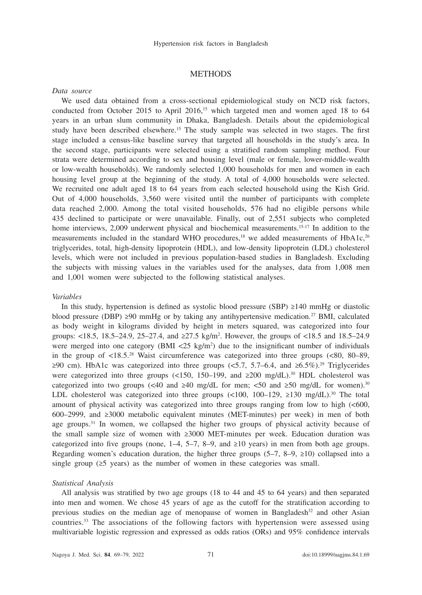### **METHODS**

## *Data source*

We used data obtained from a cross-sectional epidemiological study on NCD risk factors, conducted from October 2015 to April 2016,<sup>15</sup> which targeted men and women aged 18 to 64 years in an urban slum community in Dhaka, Bangladesh. Details about the epidemiological study have been described elsewhere.<sup>15</sup> The study sample was selected in two stages. The first stage included a census-like baseline survey that targeted all households in the study's area. In the second stage, participants were selected using a stratified random sampling method. Four strata were determined according to sex and housing level (male or female, lower-middle-wealth or low-wealth households). We randomly selected 1,000 households for men and women in each housing level group at the beginning of the study. A total of 4,000 households were selected. We recruited one adult aged 18 to 64 years from each selected household using the Kish Grid. Out of 4,000 households, 3,560 were visited until the number of participants with complete data reached 2,000. Among the total visited households, 576 had no eligible persons while 435 declined to participate or were unavailable. Finally, out of 2,551 subjects who completed home interviews, 2,009 underwent physical and biochemical measurements.<sup>15-17</sup> In addition to the measurements included in the standard WHO procedures, $18$  we added measurements of HbA1c, $26$ triglycerides, total, high-density lipoprotein (HDL), and low-density lipoprotein (LDL) cholesterol levels, which were not included in previous population-based studies in Bangladesh. Excluding the subjects with missing values in the variables used for the analyses, data from 1,008 men and 1,001 women were subjected to the following statistical analyses.

#### *Variables*

In this study, hypertension is defined as systolic blood pressure (SBP) ≥140 mmHg or diastolic blood pressure (DBP) ≥90 mmHg or by taking any antihypertensive medication.<sup>27</sup> BMI, calculated as body weight in kilograms divided by height in meters squared, was categorized into four groups: <18.5, 18.5–24.9, 25–27.4, and  $\geq$ 27.5 kg/m<sup>2</sup>. However, the groups of <18.5 and 18.5–24.9 were merged into one category (BMI  $\langle 25 \text{ kg/m}^2 \rangle$  due to the insignificant number of individuals in the group of  $\langle 18.5.^{28}$  Waist circumference was categorized into three groups ( $\langle 80, 80–89,$ ≥90 cm). HbA1c was categorized into three groups (<5.7, 5.7–6.4, and ≥6.5%).<sup>29</sup> Triglycerides were categorized into three groups (<150, 150–199, and  $\geq 200 \text{ mg/dL}$ ).<sup>30</sup> HDL cholesterol was categorized into two groups (<40 and  $\geq$ 40 mg/dL for men; <50 and  $\geq$ 50 mg/dL for women).<sup>30</sup> LDL cholesterol was categorized into three groups  $\left($  <100, 100–129,  $\geq$ 130 mg/dL).<sup>30</sup> The total amount of physical activity was categorized into three groups ranging from low to high (<600, 600–2999, and ≥3000 metabolic equivalent minutes (MET-minutes) per week) in men of both age groups.<sup>31</sup> In women, we collapsed the higher two groups of physical activity because of the small sample size of women with ≥3000 MET-minutes per week. Education duration was categorized into five groups (none,  $1-4$ ,  $5-7$ ,  $8-9$ , and  $\geq 10$  years) in men from both age groups. Regarding women's education duration, the higher three groups  $(5-7, 8-9, \ge 10)$  collapsed into a single group  $(≥5 \text{ years})$  as the number of women in these categories was small.

#### *Statistical Analysis*

All analysis was stratified by two age groups (18 to 44 and 45 to 64 years) and then separated into men and women. We chose 45 years of age as the cutoff for the stratification according to previous studies on the median age of menopause of women in Bangladesh $32$  and other Asian countries.33 The associations of the following factors with hypertension were assessed using multivariable logistic regression and expressed as odds ratios (ORs) and 95% confidence intervals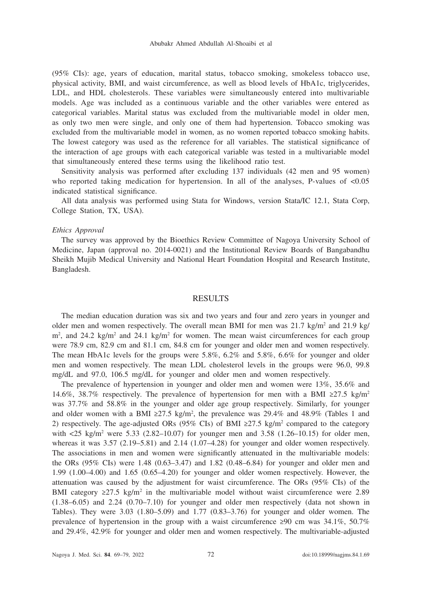(95% CIs): age, years of education, marital status, tobacco smoking, smokeless tobacco use, physical activity, BMI, and waist circumference, as well as blood levels of HbA1c, triglycerides, LDL, and HDL cholesterols. These variables were simultaneously entered into multivariable models. Age was included as a continuous variable and the other variables were entered as categorical variables. Marital status was excluded from the multivariable model in older men, as only two men were single, and only one of them had hypertension. Tobacco smoking was excluded from the multivariable model in women, as no women reported tobacco smoking habits. The lowest category was used as the reference for all variables. The statistical significance of the interaction of age groups with each categorical variable was tested in a multivariable model that simultaneously entered these terms using the likelihood ratio test.

Sensitivity analysis was performed after excluding 137 individuals (42 men and 95 women) who reported taking medication for hypertension. In all of the analyses, P-values of  $\langle 0.05 \rangle$ indicated statistical significance.

All data analysis was performed using Stata for Windows, version Stata/IC 12.1, Stata Corp, College Station, TX, USA).

#### *Ethics Approval*

The survey was approved by the Bioethics Review Committee of Nagoya University School of Medicine, Japan (approval no. 2014-0021) and the Institutional Review Boards of Bangabandhu Sheikh Mujib Medical University and National Heart Foundation Hospital and Research Institute, Bangladesh.

# RESULTS

The median education duration was six and two years and four and zero years in younger and older men and women respectively. The overall mean BMI for men was  $21.7 \text{ kg/m}^2$  and  $21.9 \text{ kg/m}^2$  $\text{m}^2$ , and 24.2 kg/m<sup>2</sup> and 24.1 kg/m<sup>2</sup> for women. The mean waist circumferences for each group were 78.9 cm, 82.9 cm and 81.1 cm, 84.8 cm for younger and older men and women respectively. The mean HbA1c levels for the groups were 5.8%, 6.2% and 5.8%, 6.6% for younger and older men and women respectively. The mean LDL cholesterol levels in the groups were 96.0, 99.8 mg/dL and 97.0, 106.5 mg/dL for younger and older men and women respectively.

The prevalence of hypertension in younger and older men and women were 13%, 35.6% and 14.6%, 38.7% respectively. The prevalence of hypertension for men with a BMI  $\geq 27.5$  kg/m<sup>2</sup> was 37.7% and 58.8% in the younger and older age group respectively. Similarly, for younger and older women with a BMI  $\geq$ 27.5 kg/m<sup>2</sup>, the prevalence was 29.4% and 48.9% (Tables 1 and 2) respectively. The age-adjusted ORs (95% CIs) of BMI  $\geq$ 27.5 kg/m<sup>2</sup> compared to the category with <25 kg/m<sup>2</sup> were 5.33 (2.82–10.07) for younger men and 3.58 (1.26–10.15) for older men, whereas it was  $3.57$  ( $2.19-5.81$ ) and  $2.14$  ( $1.07-4.28$ ) for younger and older women respectively. The associations in men and women were significantly attenuated in the multivariable models: the ORs (95% CIs) were 1.48 (0.63–3.47) and 1.82 (0.48–6.84) for younger and older men and 1.99 (1.00–4.00) and 1.65 (0.65–4.20) for younger and older women respectively. However, the attenuation was caused by the adjustment for waist circumference. The ORs (95% CIs) of the BMI category  $\geq$ 27.5 kg/m<sup>2</sup> in the multivariable model without waist circumference were 2.89  $(1.38-6.05)$  and  $2.24$   $(0.70-7.10)$  for younger and older men respectively (data not shown in Tables). They were 3.03 (1.80–5.09) and 1.77 (0.83–3.76) for younger and older women. The prevalence of hypertension in the group with a waist circumference  $\geq 90$  cm was  $34.1\%$ ,  $50.7\%$ and 29.4%, 42.9% for younger and older men and women respectively. The multivariable-adjusted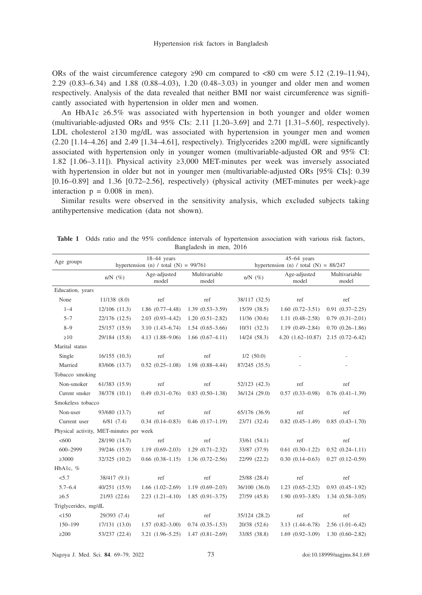ORs of the waist circumference category  $\geq 90$  cm compared to  $\lt 80$  cm were 5.12 (2.19–11.94), 2.29 (0.83–6.34) and 1.88 (0.88–4.03), 1.20 (0.48–3.03) in younger and older men and women respectively. Analysis of the data revealed that neither BMI nor waist circumference was significantly associated with hypertension in older men and women.

An HbA1c ≥6.5% was associated with hypertension in both younger and older women (multivariable-adjusted ORs and 95% CIs: 2.11 [1.20–3.69] and 2.71 [1.31–5.60], respectively). LDL cholesterol ≥130 mg/dL was associated with hypertension in younger men and women  $(2.20 \text{ } [1.14-4.26]$  and  $2.49 \text{ } [1.34-4.61]$ , respectively). Triglycerides ≥200 mg/dL were significantly associated with hypertension only in younger women (multivariable-adjusted OR and 95% CI: 1.82 [1.06–3.11]). Physical activity ≥3,000 MET-minutes per week was inversely associated with hypertension in older but not in younger men (multivariable-adjusted ORs [95% CIs]: 0.39 [0.16–0.89] and 1.36 [0.72–2.56], respectively) (physical activity (MET-minutes per week)-age interaction  $p = 0.008$  in men).

Similar results were observed in the sensitivity analysis, which excluded subjects taking antihypertensive medication (data not shown).

| Age groups           | $18-44$ years<br>hypertension (n) / total (N) = $99/761$ |                        |                        | $45-64$ years<br>hypertension (n) / total (N) = $88/247$ |                       |                        |  |
|----------------------|----------------------------------------------------------|------------------------|------------------------|----------------------------------------------------------|-----------------------|------------------------|--|
|                      | $n/N$ (%)                                                | Age-adjusted<br>model  | Multivariable<br>model | $n/N$ (%)                                                | Age-adjusted<br>model | Multivariable<br>model |  |
| Education, years     |                                                          |                        |                        |                                                          |                       |                        |  |
| None                 | 11/138(8.0)                                              | ref                    | ref                    | 38/117 (32.5)                                            | ref                   | ref                    |  |
| $1 - 4$              | 12/106 (11.3)                                            | $1.86(0.77-4.48)$      | $1.39(0.53 - 3.59)$    | 15/39 (38.5)                                             | $1.60(0.72 - 3.51)$   | $0.91(0.37-2.25)$      |  |
| $5 - 7$              | 22/176 (12.5)                                            | $2.03(0.93-4.42)$      | $1.20(0.51 - 2.82)$    | 11/36 (30.6)                                             | $1.11(0.48 - 2.58)$   | $0.79(0.31 - 2.01)$    |  |
| $8 - 9$              | 25/157 (15.9)                                            | $3.10(1.43 - 6.74)$    | $1.54(0.65-3.66)$      | 10/31(32.3)                                              | $1.19(0.49 - 2.84)$   | $0.70(0.26 - 1.86)$    |  |
| $\geq 10$            | 29/184 (15.8)                                            | 4.13 (1.88-9.06)       | $1.66$ $(0.67-4.11)$   | 14/24 (58.3)                                             | $4.20(1.62 - 10.87)$  | $2.15(0.72 - 6.42)$    |  |
| Marital status       |                                                          |                        |                        |                                                          |                       |                        |  |
| Single               | 16/155(10.3)                                             | ref                    | ref                    | $1/2$ (50.0)                                             |                       |                        |  |
| Married              | 83/606 (13.7)                                            | $0.52(0.25-1.08)$      | $1.98(0.88 - 4.44)$    | 87/245 (35.5)                                            |                       |                        |  |
| Tobacco smoking      |                                                          |                        |                        |                                                          |                       |                        |  |
| Non-smoker           | 61/383 (15.9)                                            | ref                    | ref                    | 52/123 (42.3)                                            | ref                   | ref                    |  |
| Current smoker       | 38/378 (10.1)                                            | $0.49(0.31-0.76)$      | $0.83(0.50-1.38)$      | 36/124 (29.0)                                            | $0.57(0.33 - 0.98)$   | $0.76$ $(0.41-1.39)$   |  |
| Smokeless tobacco    |                                                          |                        |                        |                                                          |                       |                        |  |
| Non-user             | 93/680 (13.7)                                            | ref                    | ref                    | 65/176 (36.9)                                            | ref                   | ref                    |  |
| Current user         | 6/81(7.4)                                                | $0.34(0.14 - 0.83)$    | $0.46$ $(0.17-1.19)$   | 23/71 (32.4)                                             | $0.82$ $(0.45-1.49)$  | $0.85(0.43 - 1.70)$    |  |
|                      | Physical activity, MET-minutes per week                  |                        |                        |                                                          |                       |                        |  |
| <600                 | 28/190 (14.7)                                            | ref                    | ref                    | 33/61 (54.1)                                             | ref                   | ref                    |  |
| 600-2999             | 39/246 (15.9)                                            | $1.19(0.69 - 2.03)$    | $1.29(0.71 - 2.32)$    | 33/87 (37.9)                                             | $0.61(0.30-1.22)$     | $0.52(0.24 - 1.11)$    |  |
| $\geq 3000$          | 32/325 (10.2)                                            | $0.66$ $(0.38-1.15)$   | $1.36(0.72 - 2.56)$    | 22/99 (22.2)                                             | $0.30(0.14 - 0.63)$   | $0.27(0.12-0.59)$      |  |
| HbA1c, %             |                                                          |                        |                        |                                                          |                       |                        |  |
| < 5.7                | 38/417 (9.1)                                             | ref                    | ref                    | 25/88 (28.4)                                             | ref                   | ref                    |  |
| $5.7 - 6.4$          | 40/251 (15.9)                                            | $1.66$ $(1.02 - 2.69)$ | $1.19(0.69 - 2.03)$    | 36/100 (36.0)                                            | $1.23$ $(0.65-2.32)$  | $0.93(0.45-1.92)$      |  |
| $\ge 6.5$            | 21/93 (22.6)                                             | $2.23(1.21-4.10)$      | $1.85(0.91 - 3.75)$    | 27/59 (45.8)                                             | $1.90(0.93 - 3.85)$   | $1.34(0.58 - 3.05)$    |  |
| Triglycerides, mg/dL |                                                          |                        |                        |                                                          |                       |                        |  |
| <150                 | 29/393 (7.4)                                             | ref                    | ref                    | 35/124 (28.2)                                            | ref                   | ref                    |  |
| $150 - 199$          | 17/131 (13.0)                                            | $1.57(0.82 - 3.00)$    | $0.74(0.35-1.53)$      | 20/38 (52.6)                                             | $3.13(1.44 - 6.78)$   | $2.56$ $(1.01-6.42)$   |  |
| $\geq$ 200           | 53/237 (22.4)                                            | $3.21(1.96 - 5.25)$    | $1.47(0.81 - 2.69)$    | 33/85 (38.8)                                             | $1.69(0.92 - 3.09)$   | $1.30(0.60 - 2.82)$    |  |
|                      |                                                          |                        |                        |                                                          |                       |                        |  |

**Table 1** Odds ratio and the 95% confidence intervals of hypertension association with various risk factors, Bangladesh in men, 2016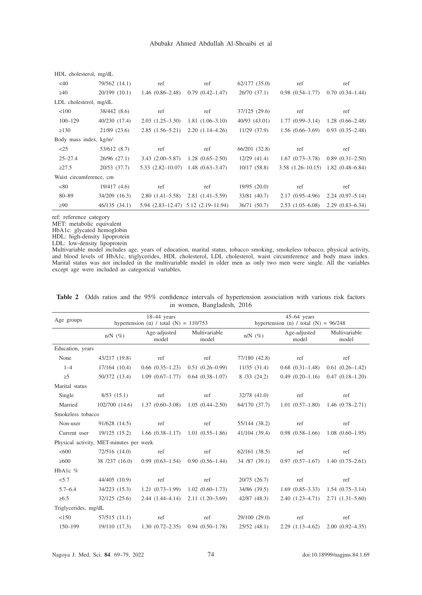| HDL cholesterol, mg/dL   |                |                                              |                                             |               |                                            |                     |  |
|--------------------------|----------------|----------------------------------------------|---------------------------------------------|---------------|--------------------------------------------|---------------------|--|
| <40                      | 79/562 (14.1)  | ref                                          | ref                                         | 62/177(35.0)  | ref                                        | ref                 |  |
| $\geq 40$                | 20/199 (10.1)  | $1.46(0.86-2.48)$                            | $0.79(0.42 - 1.47)$                         | 26/70(37.1)   | $0.98$ $(0.54 - 1.77)$                     | $0.70(0.34-1.44)$   |  |
| LDL cholesterol, mg/dL   |                |                                              |                                             |               |                                            |                     |  |
| < 100                    | 38/442 (8.6)   | ref                                          | ref                                         | 37/125 (29.6) | ref                                        | ref                 |  |
| $100 - 129$              | 40/230 (17.4)  | $2.03(1.25-3.30)$                            | $1.81(1.06-3.10)$                           | 40/93 (43.01) | $1.77(0.99-3.14)$                          | $1.28(0.66-2.48)$   |  |
| $\geq$ 130               | $21/89$ (23.6) | $2.85(1.56-5.21)$                            | $2.20(1.14-4.26)$                           | 11/29(37.9)   | $1.56(0.66-3.69)$                          | $0.93(0.35-2.48)$   |  |
| Body mass index, $kg/m2$ |                |                                              |                                             |               |                                            |                     |  |
| $\leq$ 25                | 53/612 (8.7)   | ref                                          | ref                                         | 66/201 (32.8) | ref                                        | ref                 |  |
| $25 - 27.4$              | 26/96(27.1)    | $3.43(2.00-5.87)$                            | $1.28(0.65-2.50)$                           | 12/29(41.4)   | $1.67(0.73-3.78)$                          | $0.89(0.31-2.50)$   |  |
| $\geq 27.5$              | 20/53(37.7)    | $5.33$ $(2.82 - 10.07)$ 1.48 $(0.63 - 3.47)$ |                                             | 10/17(58.8)   | $3.58$ $(1.26-10.15)$ $1.82$ $(0.48-6.84)$ |                     |  |
| Waist circumference, cm  |                |                                              |                                             |               |                                            |                     |  |
| <80                      | 19/417(4.6)    | ref                                          | ref                                         | 19/95(20.0)   | ref                                        | ref                 |  |
| $80 - 89$                | 34/209 (16.3)  | $2.80(1.41-5.58)$                            | $2.81(1.41-5.59)$                           | 33/81 (40.7)  | $2.17(0.95-4.96)$                          | $2.24(0.97-5.14)$   |  |
| $\geq 90$                | 46/135(34.1)   |                                              | $5.94$ $(2.83-12.47)$ $5.12$ $(2.19-11.94)$ | 36/71 (50.7)  | $2.53(1.05-6.08)$                          | $2.29(0.83 - 6.34)$ |  |

ref: reference category

MET: metabolic equivalent

HbA1c: glycated hemoglobin

HDL: high-density lipoprotein

LDL: low-density lipoprotein

Multivariable model includes age, years of education, marital status, tobacco smoking, smokeless tobacco, physical activity, and blood levels of HbA1c, triglycerides, HDL cholesterol, LDL cholesterol, waist circumference and body mass index. Marital status was not included in the multivariable model in older men as only two men were single. All the variables except age were included as categorical variables.

| Age groups           | $18-44$ years                            |                                     |                        | $45-64$ years                           |                       |                                     |  |
|----------------------|------------------------------------------|-------------------------------------|------------------------|-----------------------------------------|-----------------------|-------------------------------------|--|
|                      | hypertension (n) / total (N) = $110/753$ |                                     |                        | hypertension (n) / total (N) = $96/248$ |                       |                                     |  |
|                      | $n/N$ (%)                                | Age-adjusted<br>model               | Multivariable<br>model | $n/N$ $(\%)$                            | Age-adjusted<br>model | Multivariable<br>model              |  |
| Education, years     |                                          |                                     |                        |                                         |                       |                                     |  |
| None                 | 43/217 (19.8)                            | ref                                 | ref                    | 77/180 (42.8)                           | ref                   | ref                                 |  |
| $1 - 4$              | $17/164$ $(10.4)$                        | $0.66(0.35-1.23)$                   | $0.51(0.26-0.99)$      | 11/35(31.4)                             | $0.68$ $(0.31-1.48)$  | $0.61(0.26-1.42)$                   |  |
| $\geq 5$             | 50/372 (13.4)                            | $1.09(0.67-1.77)$                   | $0.64(0.38-1.07)$      | 8/33(24.2)                              |                       | $0.49(0.20-1.16)$ $0.47(0.18-1.20)$ |  |
| Marital status       |                                          |                                     |                        |                                         |                       |                                     |  |
| Single               | 8/53(15.1)                               | ref                                 | ref                    | 32/78 (41.0)                            | ref                   | ref                                 |  |
| Married              | 102/700(14.6)                            | $1.37(0.60-3.08)$                   | $1.05(0.44 - 2.50)$    | 64/170 (37.7)                           | $1.01(0.57-1.80)$     | $1.46(0.78-2.71)$                   |  |
| Smokeless tobacco    |                                          |                                     |                        |                                         |                       |                                     |  |
| Non-user             | 91/628 (14.5)                            | ref                                 | ref                    | 55/144 (38.2)                           | ref                   | ref                                 |  |
| Current user         | 19/125 (15.2)                            | $1.66(0.38-1.17)$ $1.01(0.55-1.86)$ |                        | 41/104 (39.4)                           | $0.98(0.58-1.66)$     | $1.08(0.60-1.95)$                   |  |
|                      | Physical activity, MET-minutes per week  |                                     |                        |                                         |                       |                                     |  |
| <600                 | 72/516 (14.0)                            | ref                                 | ref                    | $62/161$ $(38.5)$                       | ref                   | ref                                 |  |
| $\geq 600$           | 38 /237 (16.0)                           | $0.99(0.63-1.54)$                   | $0.90(0.56-1.44)$      | 34 /87 (39.1)                           | $0.97(0.57-1.67)$     | $1.40(0.75-2.61)$                   |  |
| HbA1c %              |                                          |                                     |                        |                                         |                       |                                     |  |
| < 5.7                | 44/405 (10.9)                            | ref                                 | ref                    | 20/75 (26.7)                            | ref                   | ref                                 |  |
| $5.7 - 6.4$          | 34/223 (15.3)                            | $1.21(0.73-1.99)$                   | $1.02(0.60-1.73)$      | 34/86 (39.5)                            | $1.69(0.85-3.33)$     | $1.54(0.75-3.14)$                   |  |
| $\ge 6.5$            | 32/125(25.6)                             | $2.44(1.44-4.14)$                   | $2.11(1.20-3.69)$      | 42/87 (48.3)                            | $2.40(1.23-4.71)$     | $2.71(1.31 - 5.60)$                 |  |
| Triglycerides, mg/dL |                                          |                                     |                        |                                         |                       |                                     |  |
| <150                 | 57/515 (11.1)                            | ref                                 | ref                    | 29/100 (29.0)                           | ref                   | ref                                 |  |
| $150 - 199$          | 19/110 (17.3)                            | $1.30(0.72 - 2.35)$                 | $0.94(0.50-1.78)$      | 25/52(48.1)                             | $2.29(1.13-4.62)$     | $2.00(0.92-4.35)$                   |  |

**Table 2** Odds ratios and the 95% confidence intervals of hypertension association with various risk factors in women, Bangladesh, 2016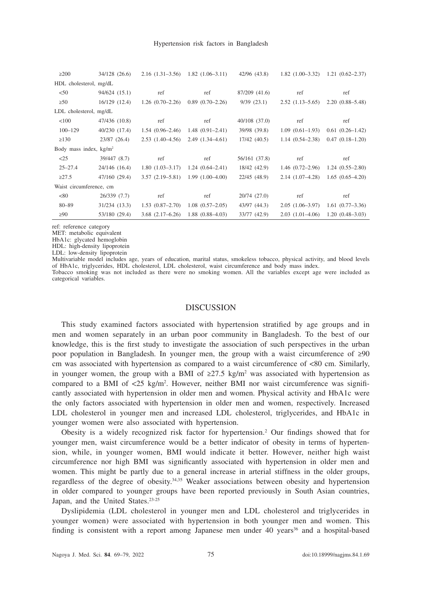| $\geq 200$               | 34/128 (26.6)          |                      | $2.16$ $(1.31-3.56)$ $1.82$ $(1.06-3.11)$ | 42/96 (43.8)      |                     | $1.82$ $(1.00-3.32)$ $1.21$ $(0.62-2.37)$ |  |  |  |
|--------------------------|------------------------|----------------------|-------------------------------------------|-------------------|---------------------|-------------------------------------------|--|--|--|
| HDL cholesterol, mg/dL   |                        |                      |                                           |                   |                     |                                           |  |  |  |
| < 50                     | 94/624 (15.1)          | ref                  | ref                                       | 87/209 (41.6)     | ref                 | ref                                       |  |  |  |
| $\geq 50$                | 16/129(12.4)           | $1.26(0.70-2.26)$    | $0.89(0.70-2.26)$                         | 9/39(23.1)        | $2.52(1.13-5.65)$   | $2.20(0.88 - 5.48)$                       |  |  |  |
|                          | LDL cholesterol, mg/dL |                      |                                           |                   |                     |                                           |  |  |  |
| < 100                    | 47/436 (10.8)          | ref                  | ref                                       | $40/108$ $(37.0)$ | ref                 | ref                                       |  |  |  |
| $100 - 129$              | 40/230 (17.4)          | $1.54(0.96-2.46)$    | $1.48(0.91 - 2.41)$                       | 39/98 (39.8)      | $1.09(0.61-1.93)$   | $0.61(0.26-1.42)$                         |  |  |  |
| $\geq$ 130               | 23/87 (26.4)           | $2.53(1.40-4.56)$    | $2.49(1.34 - 4.61)$                       | 17/42(40.5)       | $1.14(0.54 - 2.38)$ | $0.47(0.18-1.20)$                         |  |  |  |
| Body mass index, $kg/m2$ |                        |                      |                                           |                   |                     |                                           |  |  |  |
| <25                      | 39/447 (8.7)           | ref                  | ref                                       | 56/161 (37.8)     | ref                 | ref                                       |  |  |  |
| $25 - 27.4$              | 24/146 (16.4)          |                      | $1.80(1.03-3.17)$ $1.24(0.64-2.41)$       | 18/42 (42.9)      | $1.46(0.72-2.96)$   | $1.24(0.55-2.80)$                         |  |  |  |
| $\geq 27.5$              | 47/160 (29.4)          | $3.57(2.19-5.81)$    | $1.99(1.00-4.00)$                         | 22/45(48.9)       | $2.14(1.07-4.28)$   | $1.65(0.65-4.20)$                         |  |  |  |
| Waist circumference, cm  |                        |                      |                                           |                   |                     |                                           |  |  |  |
| < 80                     | 26/339(7.7)            | ref                  | ref                                       | 20/74 (27.0)      | ref                 | ref                                       |  |  |  |
| $80 - 89$                | 31/234 (13.3)          | $1.53(0.87-2.70)$    | $1.08(0.57-2.05)$                         | 43/97 (44.3)      | $2.05(1.06-3.97)$   | $1.61(0.77-3.36)$                         |  |  |  |
| $\geq 90$                | 53/180 (29.4)          | $3.68$ $(2.17-6.26)$ | $1.88(0.88-4.03)$                         | 33/77 (42.9)      | $2.03(1.01-4.06)$   | $1.20(0.48-3.03)$                         |  |  |  |

ref: reference category

MET: metabolic equivalent

HbA1c: glycated hemoglobin

HDL: high-density lipoprotein

LDL: low-density lipoprotein

Multivariable model includes age, years of education, marital status, smokeless tobacco, physical activity, and blood levels of HbA1c, triglycerides, HDL cholesterol, LDL cholesterol, waist circumference and body mass index.

Tobacco smoking was not included as there were no smoking women. All the variables except age were included as categorical variables.

#### DISCUSSION

This study examined factors associated with hypertension stratified by age groups and in men and women separately in an urban poor community in Bangladesh. To the best of our knowledge, this is the first study to investigate the association of such perspectives in the urban poor population in Bangladesh. In younger men, the group with a waist circumference of ≥90 cm was associated with hypertension as compared to a waist circumference of <80 cm. Similarly, in younger women, the group with a BMI of  $\geq 27.5$  kg/m<sup>2</sup> was associated with hypertension as compared to a BMI of  $\langle 25 \text{ kg/m}^2$ . However, neither BMI nor waist circumference was significantly associated with hypertension in older men and women. Physical activity and HbA1c were the only factors associated with hypertension in older men and women, respectively. Increased LDL cholesterol in younger men and increased LDL cholesterol, triglycerides, and HbA1c in younger women were also associated with hypertension.

Obesity is a widely recognized risk factor for hypertension.2 Our findings showed that for younger men, waist circumference would be a better indicator of obesity in terms of hypertension, while, in younger women, BMI would indicate it better. However, neither high waist circumference nor high BMI was significantly associated with hypertension in older men and women. This might be partly due to a general increase in arterial stiffness in the older groups, regardless of the degree of obesity.<sup>34,35</sup> Weaker associations between obesity and hypertension in older compared to younger groups have been reported previously in South Asian countries, Japan, and the United States.<sup>23-25</sup>

Dyslipidemia (LDL cholesterol in younger men and LDL cholesterol and triglycerides in younger women) were associated with hypertension in both younger men and women. This finding is consistent with a report among Japanese men under 40 years<sup>36</sup> and a hospital-based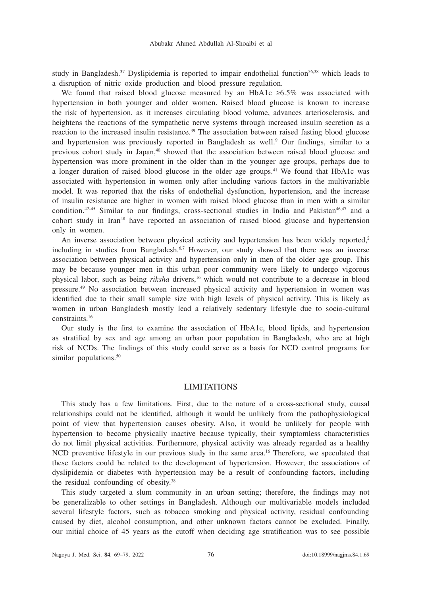study in Bangladesh.<sup>37</sup> Dyslipidemia is reported to impair endothelial function<sup>36,38</sup> which leads to a disruption of nitric oxide production and blood pressure regulation.

We found that raised blood glucose measured by an HbA1c ≥6.5% was associated with hypertension in both younger and older women. Raised blood glucose is known to increase the risk of hypertension, as it increases circulating blood volume, advances arteriosclerosis, and heightens the reactions of the sympathetic nerve systems through increased insulin secretion as a reaction to the increased insulin resistance.<sup>39</sup> The association between raised fasting blood glucose and hypertension was previously reported in Bangladesh as well.<sup>9</sup> Our findings, similar to a previous cohort study in Japan,40 showed that the association between raised blood glucose and hypertension was more prominent in the older than in the younger age groups, perhaps due to a longer duration of raised blood glucose in the older age groups.41 We found that HbA1c was associated with hypertension in women only after including various factors in the multivariable model. It was reported that the risks of endothelial dysfunction, hypertension, and the increase of insulin resistance are higher in women with raised blood glucose than in men with a similar condition.<sup>42-45</sup> Similar to our findings, cross-sectional studies in India and Pakistan<sup>46,47</sup> and a cohort study in Iran<sup>48</sup> have reported an association of raised blood glucose and hypertension only in women.

An inverse association between physical activity and hypertension has been widely reported,<sup>2</sup> including in studies from Bangladesh.<sup>6,7</sup> However, our study showed that there was an inverse association between physical activity and hypertension only in men of the older age group. This may be because younger men in this urban poor community were likely to undergo vigorous physical labor, such as being *riksha* drivers,16 which would not contribute to a decrease in blood pressure.49 No association between increased physical activity and hypertension in women was identified due to their small sample size with high levels of physical activity. This is likely as women in urban Bangladesh mostly lead a relatively sedentary lifestyle due to socio-cultural constraints.16

Our study is the first to examine the association of HbA1c, blood lipids, and hypertension as stratified by sex and age among an urban poor population in Bangladesh, who are at high risk of NCDs. The findings of this study could serve as a basis for NCD control programs for similar populations.<sup>50</sup>

### LIMITATIONS

This study has a few limitations. First, due to the nature of a cross-sectional study, causal relationships could not be identified, although it would be unlikely from the pathophysiological point of view that hypertension causes obesity. Also, it would be unlikely for people with hypertension to become physically inactive because typically, their symptomless characteristics do not limit physical activities. Furthermore, physical activity was already regarded as a healthy NCD preventive lifestyle in our previous study in the same area.<sup>16</sup> Therefore, we speculated that these factors could be related to the development of hypertension. However, the associations of dyslipidemia or diabetes with hypertension may be a result of confounding factors, including the residual confounding of obesity.38

This study targeted a slum community in an urban setting; therefore, the findings may not be generalizable to other settings in Bangladesh. Although our multivariable models included several lifestyle factors, such as tobacco smoking and physical activity, residual confounding caused by diet, alcohol consumption, and other unknown factors cannot be excluded. Finally, our initial choice of 45 years as the cutoff when deciding age stratification was to see possible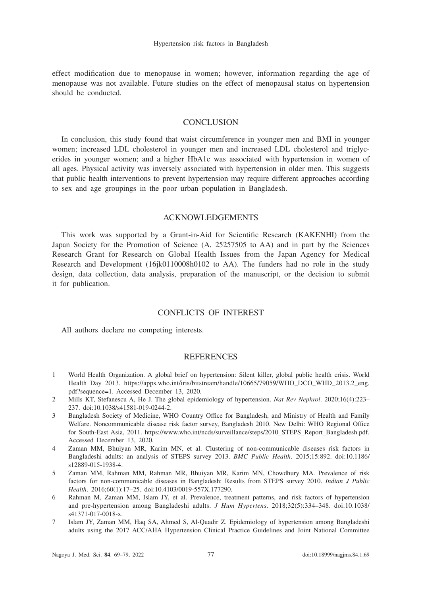effect modification due to menopause in women; however, information regarding the age of menopause was not available. Future studies on the effect of menopausal status on hypertension should be conducted.

## **CONCLUSION**

In conclusion, this study found that waist circumference in younger men and BMI in younger women; increased LDL cholesterol in younger men and increased LDL cholesterol and triglycerides in younger women; and a higher HbA1c was associated with hypertension in women of all ages. Physical activity was inversely associated with hypertension in older men. This suggests that public health interventions to prevent hypertension may require different approaches according to sex and age groupings in the poor urban population in Bangladesh.

# ACKNOWLEDGEMENTS

This work was supported by a Grant-in-Aid for Scientific Research (KAKENHI) from the Japan Society for the Promotion of Science (A, 25257505 to AA) and in part by the Sciences Research Grant for Research on Global Health Issues from the Japan Agency for Medical Research and Development (16jk0110008h0102 to AA). The funders had no role in the study design, data collection, data analysis, preparation of the manuscript, or the decision to submit it for publication.

# CONFLICTS OF INTEREST

All authors declare no competing interests.

## **REFERENCES**

- 1 World Health Organization. A global brief on hypertension: Silent killer, global public health crisis. World Health Day 2013. https://apps.who.int/iris/bitstream/handle/10665/79059/WHO\_DCO\_WHD\_2013.2\_eng. pdf?sequence=1. Accessed December 13, 2020.
- 2 Mills KT, Stefanescu A, He J. The global epidemiology of hypertension. *Nat Rev Nephrol*. 2020;16(4):223– 237. doi:10.1038/s41581-019-0244-2.
- 3 Bangladesh Society of Medicine, WHO Country Office for Bangladesh, and Ministry of Health and Family Welfare. Noncommunicable disease risk factor survey, Bangladesh 2010. New Delhi: WHO Regional Office for South-East Asia, 2011. https://www.who.int/ncds/surveillance/steps/2010\_STEPS\_Report\_Bangladesh.pdf. Accessed December 13, 2020.
- 4 Zaman MM, Bhuiyan MR, Karim MN, et al. Clustering of non-communicable diseases risk factors in Bangladeshi adults: an analysis of STEPS survey 2013. *BMC Public Health*. 2015;15:892. doi:10.1186/ s12889-015-1938-4.
- 5 Zaman MM, Rahman MM, Rahman MR, Bhuiyan MR, Karim MN, Chowdhury MA. Prevalence of risk factors for non-communicable diseases in Bangladesh: Results from STEPS survey 2010. *Indian J Public Health*. 2016;60(1):17–25. doi:10.4103/0019-557X.177290.
- 6 Rahman M, Zaman MM, Islam JY, et al. Prevalence, treatment patterns, and risk factors of hypertension and pre-hypertension among Bangladeshi adults. *J Hum Hypertens*. 2018;32(5):334–348. doi:10.1038/ s41371-017-0018-x.
- 7 Islam JY, Zaman MM, Haq SA, Ahmed S, Al-Quadir Z. Epidemiology of hypertension among Bangladeshi adults using the 2017 ACC/AHA Hypertension Clinical Practice Guidelines and Joint National Committee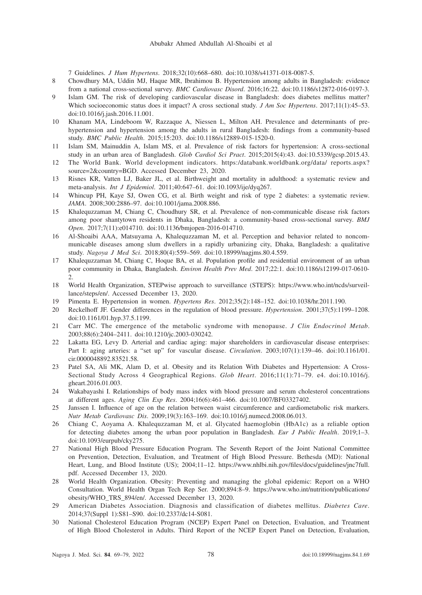7 Guidelines. *J Hum Hypertens*. 2018;32(10):668–680. doi:10.1038/s41371-018-0087-5.

- 8 Chowdhury MA, Uddin MJ, Haque MR, Ibrahimou B. Hypertension among adults in Bangladesh: evidence from a national cross-sectional survey. *BMC Cardiovasc Disord*. 2016;16:22. doi:10.1186/s12872-016-0197-3.
- 9 Islam GM. The risk of developing cardiovascular disease in Bangladesh: does diabetes mellitus matter? Which socioeconomic status does it impact? A cross sectional study. *J Am Soc Hypertens*. 2017;11(1):45–53. doi:10.1016/j.jash.2016.11.001.
- 10 Khanam MA, Lindeboom W, Razzaque A, Niessen L, Milton AH. Prevalence and determinants of prehypertension and hypertension among the adults in rural Bangladesh: findings from a community-based study. *BMC Public Health*. 2015;15:203. doi:10.1186/s12889-015-1520-0.
- 11 Islam SM, Mainuddin A, Islam MS, et al. Prevalence of risk factors for hypertension: A cross-sectional study in an urban area of Bangladesh. *Glob Cardiol Sci Pract*. 2015;2015(4):43. doi:10.5339/gcsp.2015.43.
- 12 The World Bank. World development indicators. https:/databank.worldbank.org/data/ reports.aspx? source=2&country=BGD. Accessed December 23, 2020.
- 13 Risnes KR, Vatten LJ, Baker JL, et al. Birthweight and mortality in adulthood: a systematic review and meta-analysis. *Int J Epidemiol*. 2011;40:647–61. doi:10.1093/ije/dyq267.
- 14 Whincup PH, Kaye SJ, Owen CG, et al. Birth weight and risk of type 2 diabetes: a systematic review. *JAMA*. 2008;300:2886–97. doi:10.1001/jama.2008.886.
- 15 Khalequzzaman M, Chiang C, Choudhury SR, et al. Prevalence of non-communicable disease risk factors among poor shantytown residents in Dhaka, Bangladesh: a community-based cross-sectional survey. *BMJ Open*. 2017;7(11):e014710. doi:10.1136/bmjopen-2016-014710.
- 16 Al-Shoaibi AAA, Matsuyama A, Khalequzzaman M, et al. Perception and behavior related to noncommunicable diseases among slum dwellers in a rapidly urbanizing city, Dhaka, Bangladesh: a qualitative study. *Nagoya J Med Sci*. 2018;80(4):559–569. doi:10.18999/nagjms.80.4.559.
- 17 Khalequzzaman M, Chiang C, Hoque BA, et al. Population profile and residential environment of an urban poor community in Dhaka, Bangladesh. *Environ Health Prev Med*. 2017;22:1. doi:10.1186/s12199-017-0610- 2.
- 18 World Health Organization, STEPwise approach to surveillance (STEPS): https://www.who.int/ncds/surveillance/steps/en/. Accessed December 13, 2020.
- 19 Pimenta E. Hypertension in women. *Hypertens Res*. 2012;35(2):148–152. doi:10.1038/hr.2011.190.
- 20 Reckelhoff JF. Gender differences in the regulation of blood pressure. *Hypertension*. 2001;37(5):1199–1208. doi:10.1161/01.hyp.37.5.1199.
- 21 Carr MC. The emergence of the metabolic syndrome with menopause. *J Clin Endocrinol Metab*. 2003;88(6):2404–2411. doi:10.1210/jc.2003-030242.
- 22 Lakatta EG, Levy D. Arterial and cardiac aging: major shareholders in cardiovascular disease enterprises: Part I: aging arteries: a "set up" for vascular disease. *Circulation*. 2003;107(1):139–46. doi:10.1161/01. cir.0000048892.83521.58.
- 23 Patel SA, Ali MK, Alam D, et al. Obesity and its Relation With Diabetes and Hypertension: A Cross-Sectional Study Across 4 Geographical Regions. *Glob Heart*. 2016;11(1):71–79. e4. doi:10.1016/j. gheart.2016.01.003.
- 24 Wakabayashi I. Relationships of body mass index with blood pressure and serum cholesterol concentrations at different ages. *Aging Clin Exp Res*. 2004;16(6):461–466. doi:10.1007/BF03327402.
- 25 Janssen I. Influence of age on the relation between waist circumference and cardiometabolic risk markers. *Nutr Metab Cardiovasc Dis*. 2009;19(3):163–169. doi:10.1016/j.numecd.2008.06.013.
- 26 Chiang C, Aoyama A. Khalequzzaman M, et al. Glycated haemoglobin (HbA1c) as a reliable option for detecting diabetes among the urban poor population in Bangladesh. *Eur J Public Health*. 2019;1–3. doi:10.1093/eurpub/cky275.
- 27 National High Blood Pressure Education Program. The Seventh Report of the Joint National Committee on Prevention, Detection, Evaluation, and Treatment of High Blood Pressure. Bethesda (MD): National Heart, Lung, and Blood Institute (US); 2004;11–12. https://www.nhlbi.nih.gov/files/docs/guidelines/jnc7full. pdf. Accessed December 13, 2020.
- 28 World Health Organization. Obesity: Preventing and managing the global epidemic: Report on a WHO Consultation. World Health Organ Tech Rep Ser. 2000;894:8–9. https://www.who.int/nutrition/publications/ obesity/WHO\_TRS\_894/en/. Accessed December 13, 2020.
- 29 American Diabetes Association. Diagnosis and classification of diabetes mellitus. *Diabetes Care*. 2014;37(Suppl 1):S81–S90. doi:10.2337/dc14-S081.
- 30 National Cholesterol Education Program (NCEP) Expert Panel on Detection, Evaluation, and Treatment of High Blood Cholesterol in Adults. Third Report of the NCEP Expert Panel on Detection, Evaluation,